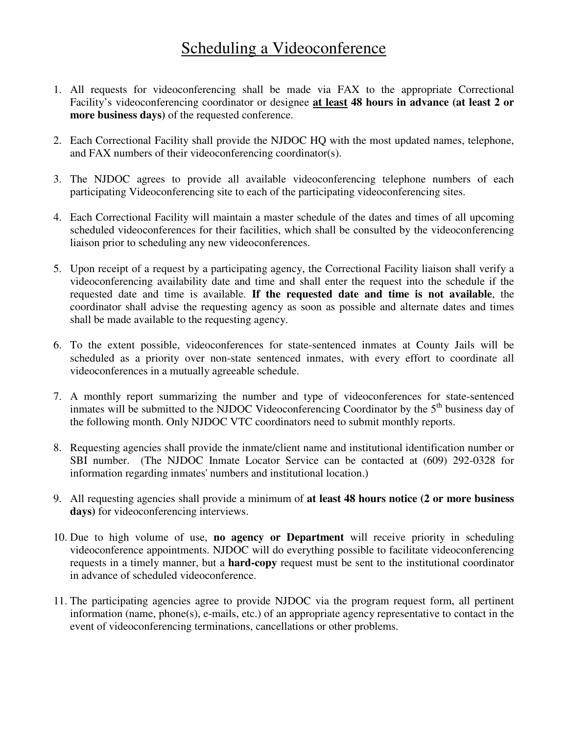## Scheduling a Videoconference

- 1. All requests for videoconferencing shall be made via FAX to the appropriate Correctional Facility's videoconferencing coordinator or designee **at least 48 hours in advance (at least 2 or more business days)** of the requested conference.
- 2. Each Correctional Facility shall provide the NJDOC HQ with the most updated names, telephone, and FAX numbers of their videoconferencing coordinator(s).
- 3. The NJDOC agrees to provide all available videoconferencing telephone numbers of each participating Videoconferencing site to each of the participating videoconferencing sites.
- 4. Each Correctional Facility will maintain a master schedule of the dates and times of all upcoming scheduled videoconferences for their facilities, which shall be consulted by the videoconferencing liaison prior to scheduling any new videoconferences.
- 5. Upon receipt of a request by a participating agency, the Correctional Facility liaison shall verify a videoconferencing availability date and time and shall enter the request into the schedule if the requested date and time is available. **If the requested date and time is not available**, the coordinator shall advise the requesting agency as soon as possible and alternate dates and times shall be made available to the requesting agency.
- 6. To the extent possible, videoconferences for state-sentenced inmates at County Jails will be scheduled as a priority over non-state sentenced inmates, with every effort to coordinate all videoconferences in a mutually agreeable schedule.
- 7. A monthly report summarizing the number and type of videoconferences for state-sentenced inmates will be submitted to the NJDOC Videoconferencing Coordinator by the 5<sup>th</sup> business day of the following month. Only NJDOC VTC coordinators need to submit monthly reports.
- 8. Requesting agencies shall provide the inmate/client name and institutional identification number or SBI number. (The NJDOC Inmate Locator Service can be contacted at (609) 292-0328 for information regarding inmates' numbers and institutional location.)
- 9. All requesting agencies shall provide a minimum of **at least 48 hours notice (2 or more business days)** for videoconferencing interviews.
- 10. Due to high volume of use, **no agency or Department** will receive priority in scheduling videoconference appointments. NJDOC will do everything possible to facilitate videoconferencing requests in a timely manner, but a **hard-copy** request must be sent to the institutional coordinator in advance of scheduled videoconference.
- 11. The participating agencies agree to provide NJDOC via the program request form, all pertinent information (name, phone(s), e-mails, etc.) of an appropriate agency representative to contact in the event of videoconferencing terminations, cancellations or other problems.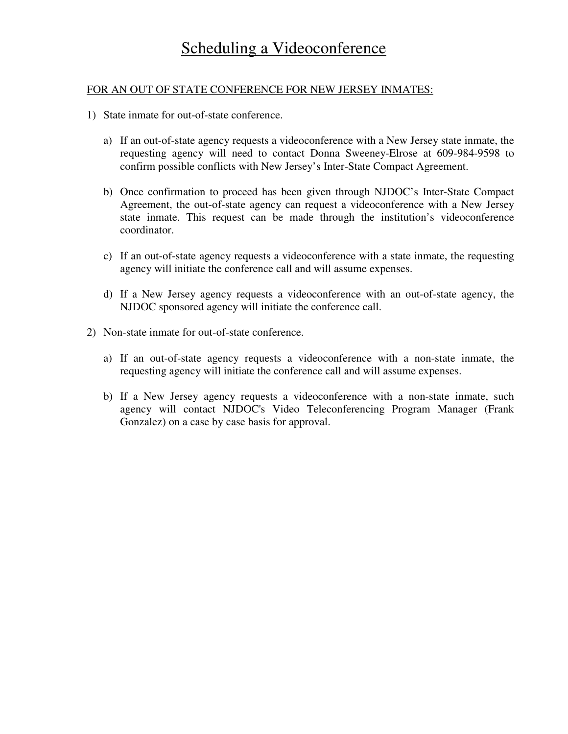## FOR AN OUT OF STATE CONFERENCE FOR NEW JERSEY INMATES:

- 1) State inmate for out-of-state conference.
	- a) If an out-of-state agency requests a videoconference with a New Jersey state inmate, the requesting agency will need to contact Donna Sweeney-Elrose at 609-984-9598 to confirm possible conflicts with New Jersey's Inter-State Compact Agreement.
	- b) Once confirmation to proceed has been given through NJDOC's Inter-State Compact Agreement, the out-of-state agency can request a videoconference with a New Jersey state inmate. This request can be made through the institution's videoconference coordinator.
	- c) If an out-of-state agency requests a videoconference with a state inmate, the requesting agency will initiate the conference call and will assume expenses.
	- d) If a New Jersey agency requests a videoconference with an out-of-state agency, the NJDOC sponsored agency will initiate the conference call.
- 2) Non-state inmate for out-of-state conference.
	- a) If an out-of-state agency requests a videoconference with a non-state inmate, the requesting agency will initiate the conference call and will assume expenses.
	- b) If a New Jersey agency requests a videoconference with a non-state inmate, such agency will contact NJDOC's Video Teleconferencing Program Manager (Frank Gonzalez) on a case by case basis for approval.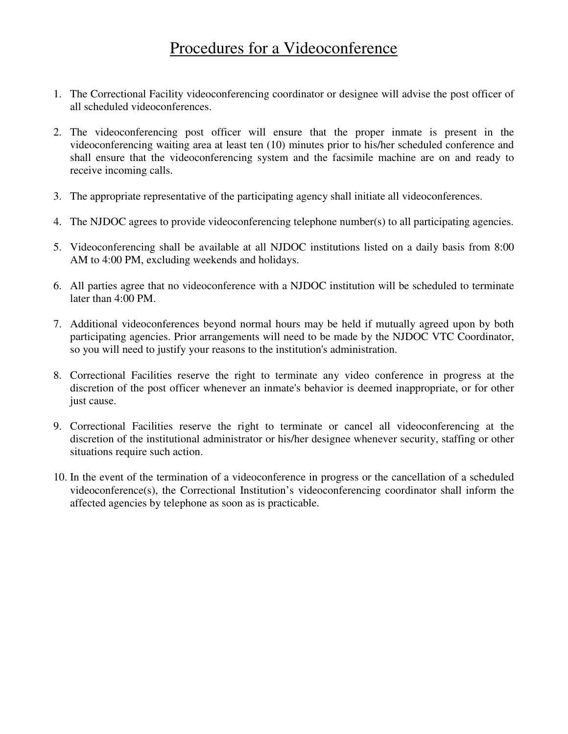## Procedures for a Videoconference

- 1. The Correctional Facility videoconferencing coordinator or designee will advise the post officer of all scheduled videoconferences.
- 2. The videoconferencing post officer will ensure that the proper inmate is present in the videoconferencing waiting area at least ten (10) minutes prior to his/her scheduled conference and shall ensure that the videoconferencing system and the facsimile machine are on and ready to receive incoming calls.
- 3. The appropriate representative of the participating agency shall initiate all videoconferences.
- 4. The NJDOC agrees to provide videoconferencing telephone number(s) to all participating agencies.
- 5. Videoconferencing shall be available at all NJDOC institutions listed on a daily basis from 8:00 AM to 4:00 PM, excluding weekends and holidays.
- 6. All parties agree that no videoconference with a NJDOC institution will be scheduled to terminate later than 4:00 PM.
- 7. Additional videoconferences beyond normal hours may be held if mutually agreed upon by both participating agencies. Prior arrangements will need to be made by the NJDOC VTC Coordinator, so you will need to justify your reasons to the institution's administration.
- 8. Correctional Facilities reserve the right to terminate any video conference in progress at the discretion of the post officer whenever an inmate's behavior is deemed inappropriate, or for other just cause.
- 9. Correctional Facilities reserve the right to terminate or cancel all videoconferencing at the discretion of the institutional administrator or his/her designee whenever security, staffing or other situations require such action.
- 10. In the event of the termination of a videoconference in progress or the cancellation of a scheduled videoconference(s), the Correctional Institution's videoconferencing coordinator shall inform the affected agencies by telephone as soon as is practicable.